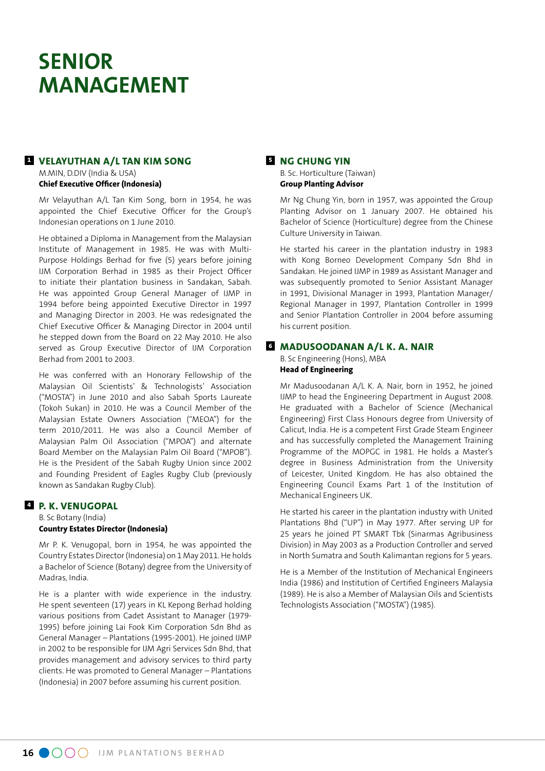# **SENIOR MANAGEMENT**

#### **<sup>1</sup> VELAYUTHAN A/L TAN KIM SONG**

M.MIN, D.DIV (India & USA) **Chief Executive Officer (Indonesia)**

Mr Velayuthan A/L Tan Kim Song, born in 1954, he was appointed the Chief Executive Officer for the Group's Indonesian operations on 1 June 2010.

He obtained a Diploma in Management from the Malaysian Institute of Management in 1985. He was with Multi-Purpose Holdings Berhad for five (5) years before joining IJM Corporation Berhad in 1985 as their Project Officer to initiate their plantation business in Sandakan, Sabah. He was appointed Group General Manager of IJMP in 1994 before being appointed Executive Director in 1997 and Managing Director in 2003. He was redesignated the Chief Executive Officer & Managing Director in 2004 until he stepped down from the Board on 22 May 2010. He also served as Group Executive Director of IJM Corporation Berhad from 2001 to 2003.

He was conferred with an Honorary Fellowship of the Malaysian Oil Scientists' & Technologists' Association ("MOSTA") in June 2010 and also Sabah Sports Laureate (Tokoh Sukan) in 2010. He was a Council Member of the Malaysian Estate Owners Association ("MEOA") for the term 2010/2011. He was also a Council Member of Malaysian Palm Oil Association ("MPOA") and alternate Board Member on the Malaysian Palm Oil Board ("MPOB"). He is the President of the Sabah Rugby Union since 2002 and Founding President of Eagles Rugby Club (previously known as Sandakan Rugby Club).

#### **<sup>4</sup> P. K. VENUGOPAL**

B. Sc Botany (India) **Country Estates Director (Indonesia)**

Mr P. K. Venugopal, born in 1954, he was appointed the Country Estates Director (Indonesia) on 1 May 2011. He holds a Bachelor of Science (Botany) degree from the University of Madras, India.

He is a planter with wide experience in the industry. He spent seventeen (17) years in KL Kepong Berhad holding various positions from Cadet Assistant to Manager (1979- 1995) before joining Lai Fook Kim Corporation Sdn Bhd as General Manager – Plantations (1995-2001). He joined IJMP in 2002 to be responsible for IJM Agri Services Sdn Bhd, that provides management and advisory services to third party clients. He was promoted to General Manager – Plantations (Indonesia) in 2007 before assuming his current position.

### **<sup>5</sup> NG CHUNG YIN**

B. Sc. Horticulture (Taiwan) **Group Planting Advisor**

Mr Ng Chung Yin, born in 1957, was appointed the Group Planting Advisor on 1 January 2007. He obtained his Bachelor of Science (Horticulture) degree from the Chinese Culture University in Taiwan.

He started his career in the plantation industry in 1983 with Kong Borneo Development Company Sdn Bhd in Sandakan. He joined IJMP in 1989 as Assistant Manager and was subsequently promoted to Senior Assistant Manager in 1991, Divisional Manager in 1993, Plantation Manager/ Regional Manager in 1997, Plantation Controller in 1999 and Senior Plantation Controller in 2004 before assuming his current position.

#### **<sup>6</sup> MADUSOODANAN A/L K. A. NAIR**

B. Sc Engineering (Hons), MBA **Head of Engineering**

Mr Madusoodanan A/L K. A. Nair, born in 1952, he joined IJMP to head the Engineering Department in August 2008. He graduated with a Bachelor of Science (Mechanical Engineering) First Class Honours degree from University of Calicut, India. He is a competent First Grade Steam Engineer and has successfully completed the Management Training Programme of the MOPGC in 1981. He holds a Master's degree in Business Administration from the University of Leicester, United Kingdom. He has also obtained the Engineering Council Exams Part 1 of the Institution of Mechanical Engineers UK.

He started his career in the plantation industry with United Plantations Bhd ("UP") in May 1977. After serving UP for 25 years he joined PT SMART Tbk (Sinarmas Agribusiness Division) in May 2003 as a Production Controller and served in North Sumatra and South Kalimantan regions for 5 years.

He is a Member of the Institution of Mechanical Engineers India (1986) and Institution of Certified Engineers Malaysia (1989). He is also a Member of Malaysian Oils and Scientists Technologists Association ("MOSTA") (1985).